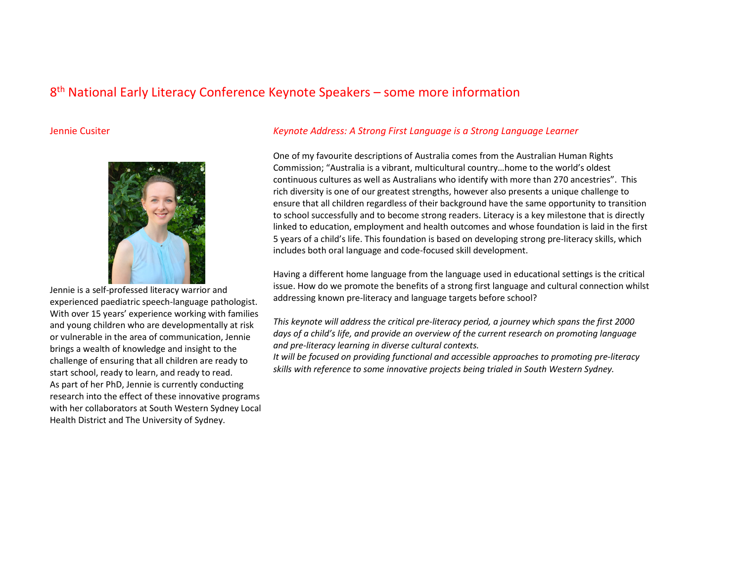# 8th National Early Literacy Conference Keynote Speakers – some more information

### Jennie Cusiter



Jennie is a self-professed literacy warrior and experienced paediatric speech-language pathologist.With over 15 years' experience working with families and young children who are developmentally at risk or vulnerable in the area of communication, Jennie brings a wealth of knowledge and insight to the challenge of ensuring that all children are ready to start school, ready to learn, and ready to read. As part of her PhD, Jennie is currently conducting research into the effect of these innovative programs with her collaborators at South Western Sydney Local Health District and The University of Sydney.

## Keynote Address: A Strong First Language is a Strong Language Learner

One of my favourite descriptions of Australia comes from the Australian Human Rights Commission; "Australia is a vibrant, multicultural country…home to the world's oldest continuous cultures as well as Australians who identify with more than 270 ancestries". This rich diversity is one of our greatest strengths, however also presents a unique challenge to ensure that all children regardless of their background have the same opportunity to transition to school successfully and to become strong readers. Literacy is a key milestone that is directly linked to education, employment and health outcomes and whose foundation is laid in the first 5 years of a child's life. This foundation is based on developing strong pre-literacy skills, which includes both oral language and code-focused skill development.

Having a different home language from the language used in educational settings is the critical issue. How do we promote the benefits of a strong first language and cultural connection whilst addressing known pre-literacy and language targets before school?

This keynote will address the critical pre-literacy period, a journey which spans the first 2000 days of a child's life, and provide an overview of the current research on promoting language and pre-literacy learning in diverse cultural contexts.

 It will be focused on providing functional and accessible approaches to promoting pre-literacy skills with reference to some innovative projects being trialed in South Western Sydney.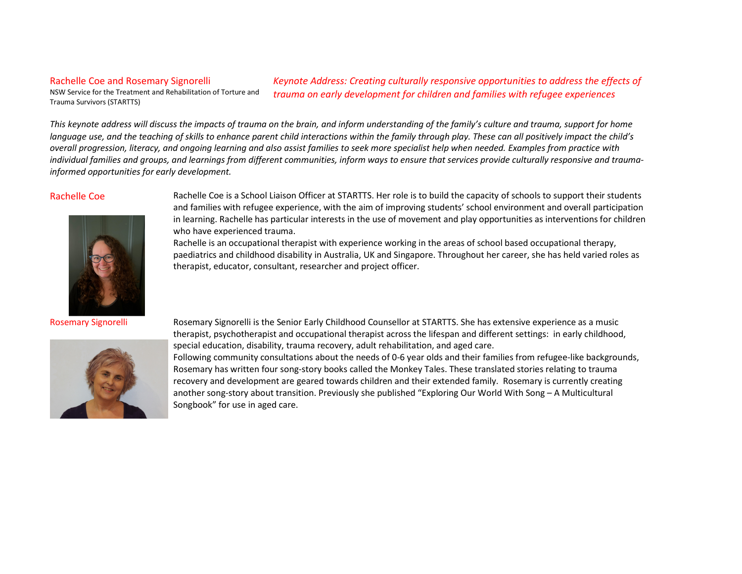### Rachelle Coe and Rosemary Signorelli

NSW Service for the Treatment and Rehabilitation of Torture and

Keynote Address: Creating culturally responsive opportunities to address the effects of trauma on early development for children and families with refugee experiences

This keynote address will discuss the impacts of trauma on the brain, and inform understanding of the family's culture and trauma, support for home language use, and the teaching of skills to enhance parent child interactions within the family through play. These can all positively impact the child's overall progression, literacy, and ongoing learning and also assist families to seek more specialist help when needed. Examples from practice with individual families and groups, and learnings from different communities, inform ways to ensure that services provide culturally responsive and traumainformed opportunities for early development.

Trauma Survivors (STARTTS)



Rosemary Signorelli



Rachelle Coe **Rachelle Coe** is a School Liaison Officer at STARTTS. Her role is to build the capacity of schools to support their students and families with refugee experience, with the aim of improving students' school environment and overall participation in learning. Rachelle has particular interests in the use of movement and play opportunities as interventions for children who have experienced trauma.

> Rachelle is an occupational therapist with experience working in the areas of school based occupational therapy, paediatrics and childhood disability in Australia, UK and Singapore. Throughout her career, she has held varied roles as therapist, educator, consultant, researcher and project officer.

 Rosemary Signorelli is the Senior Early Childhood Counsellor at STARTTS. She has extensive experience as a music therapist, psychotherapist and occupational therapist across the lifespan and different settings: in early childhood, special education, disability, trauma recovery, adult rehabilitation, and aged care.

Following community consultations about the needs of 0-6 year olds and their families from refugee-like backgrounds, Rosemary has written four song-story books called the Monkey Tales. These translated stories relating to trauma recovery and development are geared towards children and their extended family. Rosemary is currently creating another song-story about transition. Previously she published "Exploring Our World With Song – A Multicultural Songbook" for use in aged care.